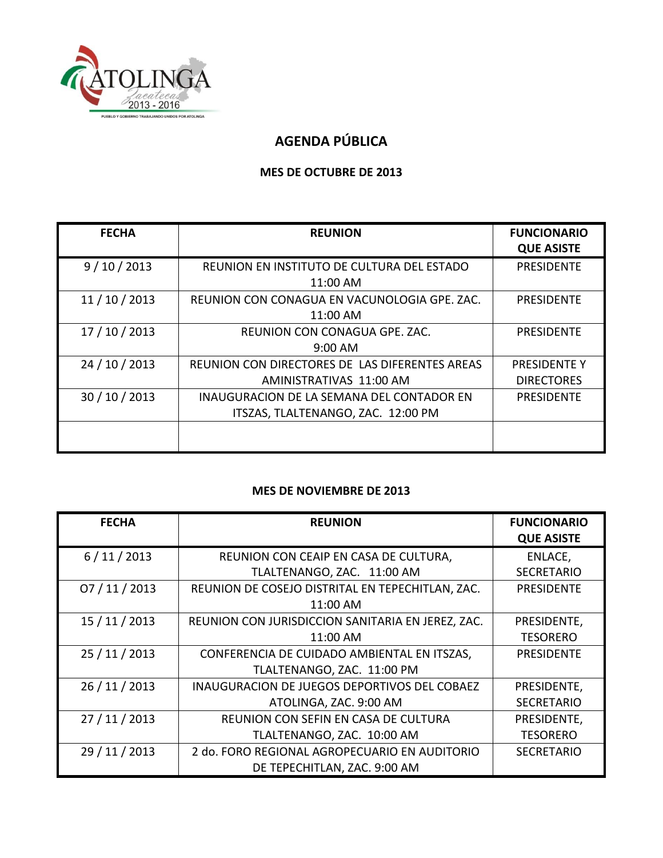

## **AGENDA PÚBLICA**

## **MES DE OCTUBRE DE 2013**

| <b>FECHA</b>   | <b>REUNION</b>                                                                  | <b>FUNCIONARIO</b><br><b>QUE ASISTE</b>  |
|----------------|---------------------------------------------------------------------------------|------------------------------------------|
| 9/10/2013      | REUNION EN INSTITUTO DE CULTURA DEL ESTADO<br>11:00 AM                          | <b>PRESIDENTE</b>                        |
| 11/10/2013     | REUNION CON CONAGUA EN VACUNOLOGIA GPE. ZAC.<br>11:00 AM                        | <b>PRESIDENTE</b>                        |
| 17 / 10 / 2013 | REUNION CON CONAGUA GPE. ZAC.<br>$9:00$ AM                                      | <b>PRESIDENTE</b>                        |
| 24 / 10 / 2013 | REUNION CON DIRECTORES DE LAS DIFERENTES AREAS<br>AMINISTRATIVAS 11:00 AM       | <b>PRESIDENTE Y</b><br><b>DIRECTORES</b> |
| 30 / 10 / 2013 | INAUGURACION DE LA SEMANA DEL CONTADOR EN<br>ITSZAS, TLALTENANGO, ZAC. 12:00 PM | <b>PRESIDENTE</b>                        |
|                |                                                                                 |                                          |

## **MES DE NOVIEMBRE DE 2013**

| <b>FECHA</b>   | <b>REUNION</b>                                    | <b>FUNCIONARIO</b> |
|----------------|---------------------------------------------------|--------------------|
|                |                                                   | <b>QUE ASISTE</b>  |
| 6/11/2013      | REUNION CON CEAIP EN CASA DE CULTURA,             | ENLACE,            |
|                | TLALTENANGO, ZAC. 11:00 AM                        | <b>SECRETARIO</b>  |
| 07/11/2013     | REUNION DE COSEJO DISTRITAL EN TEPECHITLAN, ZAC.  | <b>PRESIDENTE</b>  |
|                | 11:00 AM                                          |                    |
| 15 / 11 / 2013 | REUNION CON JURISDICCION SANITARIA EN JEREZ, ZAC. | PRESIDENTE,        |
|                | 11:00 AM                                          | <b>TESORERO</b>    |
| 25 / 11 / 2013 | CONFERENCIA DE CUIDADO AMBIENTAL EN ITSZAS,       | <b>PRESIDENTE</b>  |
|                | TLALTENANGO, ZAC. 11:00 PM                        |                    |
| 26 / 11 / 2013 | INAUGURACION DE JUEGOS DEPORTIVOS DEL COBAEZ      | PRESIDENTE,        |
|                | ATOLINGA, ZAC. 9:00 AM                            | <b>SECRETARIO</b>  |
| 27/11/2013     | REUNION CON SEFIN EN CASA DE CULTURA              | PRESIDENTE,        |
|                | TLALTENANGO, ZAC. 10:00 AM                        | <b>TESORERO</b>    |
| 29 / 11 / 2013 | 2 do. FORO REGIONAL AGROPECUARIO EN AUDITORIO     | <b>SECRETARIO</b>  |
|                | DE TEPECHITLAN, ZAC. 9:00 AM                      |                    |